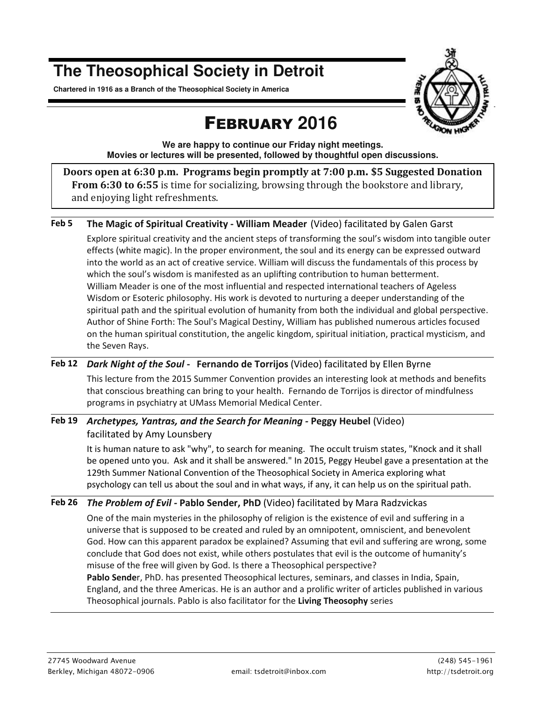# **The Theosophical Society in Detroit**

**Chartered in 1916 as a Branch of the Theosophical Society in America** 



# FEBRUARY **2016**

**We are happy to continue our Friday night meetings. Movies or lectures will be presented, followed by thoughtful open discussions.** 

**Doors open at 6:30 p.m. Programs begin promptly at 7:00 p.m. \$5 Suggested Donation From 6:30 to 6:55** is time for socializing, browsing through the bookstore and library, and enjoying light refreshments.

### **Feb 5 The Magic of Spiritual Creativity - William Meader** (Video) facilitated by Galen Garst

Explore spiritual creativity and the ancient steps of transforming the soul's wisdom into tangible outer effects (white magic). In the proper environment, the soul and its energy can be expressed outward into the world as an act of creative service. William will discuss the fundamentals of this process by which the soul's wisdom is manifested as an uplifting contribution to human betterment. William Meader is one of the most influential and respected international teachers of Ageless Wisdom or Esoteric philosophy. His work is devoted to nurturing a deeper understanding of the spiritual path and the spiritual evolution of humanity from both the individual and global perspective. Author of Shine Forth: The Soul's Magical Destiny, William has published numerous articles focused on the human spiritual constitution, the angelic kingdom, spiritual initiation, practical mysticism, and the Seven Rays.

### **Feb 12** *Dark Night of the Soul* **-****Fernando de Torrijos** (Video) facilitated by Ellen Byrne

This lecture from the 2015 Summer Convention provides an interesting look at methods and benefits that conscious breathing can bring to your health. Fernando de Torrijos is director of mindfulness programs in psychiatry at UMass Memorial Medical Center.

## **Feb 19** *Archetypes, Yantras, and the Search for Meaning -* **Peggy Heubel** (Video) facilitated by Amy Lounsbery

It is human nature to ask "why", to search for meaning. The occult truism states, "Knock and it shall be opened unto you. Ask and it shall be answered." In 2015, Peggy Heubel gave a presentation at the 129th Summer National Convention of the Theosophical Society in America exploring what psychology can tell us about the soul and in what ways, if any, it can help us on the spiritual path.

### **Feb 26** *The Problem of Evil -* **Pablo Sender, PhD** (Video) facilitated by Mara Radzvickas

One of the main mysteries in the philosophy of religion is the existence of evil and suffering in a universe that is supposed to be created and ruled by an omnipotent, omniscient, and benevolent God. How can this apparent paradox be explained? Assuming that evil and suffering are wrong, some conclude that God does not exist, while others postulates that evil is the outcome of humanity's misuse of the free will given by God. Is there a Theosophical perspective? **Pablo Sende**r, PhD. has presented Theosophical lectures, seminars, and classes in India, Spain, England, and the three Americas. He is an author and a prolific writer of articles published in various Theosophical journals. Pablo is also facilitator for the **Living Theosophy** series